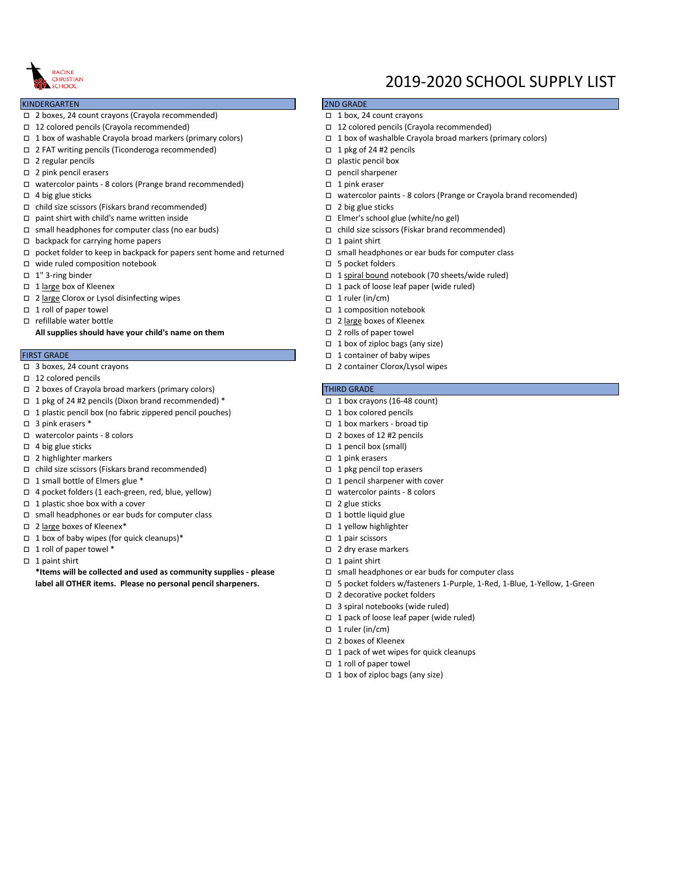

### KINDERGARTEN

- o 2 boxes, 24 count crayons (Crayola recommended) o 1 box, 24 count crayons
- o 12 colored pencils (Crayola recommended) o 12 colored pencils (Crayola recommended)
- o 1 box of washable Crayola broad markers (primary colors) o 1 box of washalble Crayola broad markers (primary colors)
- o 2 FAT writing pencils (Ticonderoga recommended) o 1 pkg of 24 #2 pencils
- $\square$  2 regular pencils of plastic pencils of plastic pencil box
- o 2 pink pencil erasers o pencil sharpener
- $\square$  watercolor paints 8 colors (Prange brand recommended)  $\square$  1 pink eraser
- 
- $\square$  child size scissors (Fiskars brand recommended)  $\square$  2 big glue sticks
- $\Box$  paint shirt with child's name written inside  $\Box$  Elmer's school glue (white/no gel)
- o small headphones for computer class (no ear buds) o child size scissors (Fiskar brand recommended)
- o backpack for carrying home papers o 1 paint shirt
- $\Box$  pocket folder to keep in backpack for papers sent home and returned  $\Box$  small headphones or ear buds for computer class
- $\square$  wide ruled composition notebook  $\square$  5 pocket folders
- 
- 
- $\square$  2 large Clorox or Lysol disinfecting wipes  $\square$  1 ruler (in/cm)
- 
- 

**All supplies should have your child's name on them**  $\Box$  2 rolls of paper towel

- 
- $\Box$  12 colored pencils
- □ 2 boxes of Crayola broad markers (primary colors) THIRD GRADE
- $\Box$  1 pkg of 24 #2 pencils (Dixon brand recommended) \*  $\Box$  1 box crayons (16-48 count)
- $\Box$  1 plastic pencil box (no fabric zippered pencil pouches)  $\Box$  1 box colored pencils
- 
- $\square$  watercolor paints 8 colors of 2 boxes of 12 #2 pencils
- 
- o 2 highlighter markers o 1 pink erasers
- $\Box$  child size scissors (Fiskars brand recommended)  $\Box$  1 pkg pencil top erasers
- o 1 small bottle of Elmers glue \* o 1 pencil sharpener with cover
- o 4 pocket folders (1 each-green, red, blue, yellow) o watercolor paints 8 colors
- $\Box$  1 plastic shoe box with a cover  $\Box$  2 glue sticks
- $\square$  small headphones or ear buds for computer class  $\square$  1 bottle liquid glue
- $\Box$  2 large boxes of Kleenex\*  $\Box$  2 large boxes of Kleenex\*
- $\Box$  1 box of baby wipes (for quick cleanups)\*  $\Box$  1 pair scissors
- □ 1 roll of paper towel \* o 2 dry erase markers
- 

**\*Items will be collected and used as community supplies - please** o small headphones or ear buds for computer class

# 2019-2020 SCHOOL SUPPLY LIST

## 2ND GRADE

- 
- 
- 
- 
- 
- 
- 
- o 4 big glue sticks o watercolor paints 8 colors (Prange or Crayola brand recomended)
	-
	-
	-
	-
	- -
- o 1" 3-ring binder o 1 spiral bound notebook (70 sheets/wide ruled)
- o 1 large box of Kleenex o 1 pack of loose leaf paper (wide ruled)
	-
- o 1 roll of paper towel o 1 composition notebook
- □ refillable water bottle **of Contract and Contract and Contract and Contract and Contract and Contract and Contract and Contract and Contract and Contract and Contract and Contract and Contract and Contract and Contract** 
	-
	- $\Box$  1 box of ziploc bags (any size)
- FIRST GRADE o 1 container of baby wipes
- o 3 boxes, 24 count crayons o 2 container Clorox/Lysol wipes

- 
- 
- $\Box$  3 pink erasers \*  $\Box$  3 pink erasers \*
	-
- $\Box$  4 big glue sticks  $\Box$  4 pencil box (small)
	-
	-
	-
	-
	-
	-
	-
	-
	-
- $\Box$  1 paint shirt  $\Box$  1 paint shirt  $\Box$  1 paint shirt
	-
	- **label all OTHER items. Please no personal pencil sharpeners.** o 5 pocket folders w/fasteners 1-Purple, 1-Red, 1-Blue, 1-Yellow, 1-Green
		- □ 2 decorative pocket folders
		- $\Box$  3 spiral notebooks (wide ruled)
		- $\Box$  1 pack of loose leaf paper (wide ruled)
		- $\Box$  1 ruler (in/cm)
		- □ 2 boxes of Kleenex
		- $\Box$  1 pack of wet wipes for quick cleanups
		- $\Box$  1 roll of paper towel
		- $\Box$  1 box of ziploc bags (any size)